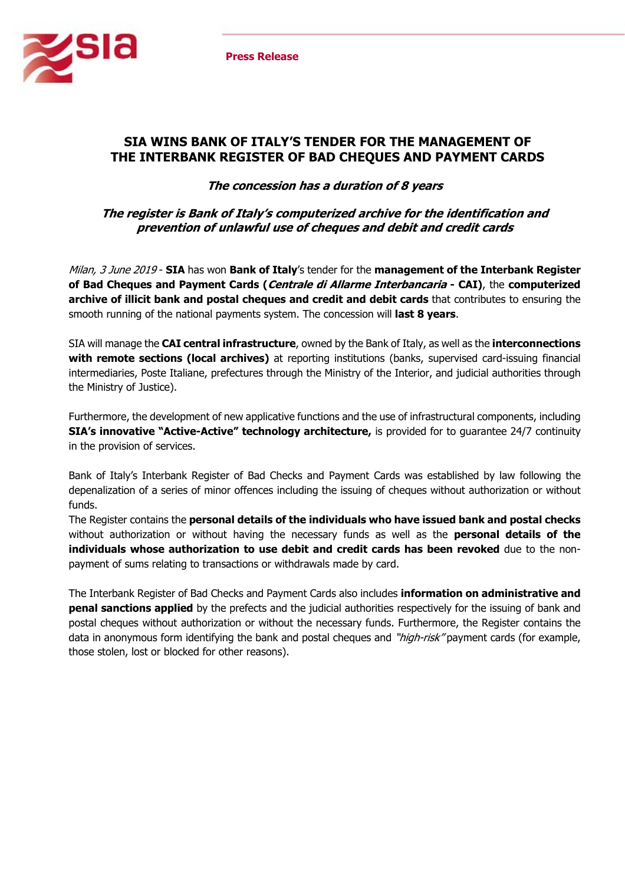

## **SIA WINS BANK OF ITALY'S TENDER FOR THE MANAGEMENT OF THE INTERBANK REGISTER OF BAD CHEQUES AND PAYMENT CARDS**

**The concession has a duration of 8 years** 

**The register is Bank of Italy's computerized archive for the identification and prevention of unlawful use of cheques and debit and credit cards** 

Milan, 3 June 2019 - **SIA** has won **Bank of Italy**'s tender for the **management of the Interbank Register of Bad Cheques and Payment Cards (Centrale di Allarme Interbancaria - CAI)**, the **computerized archive of illicit bank and postal cheques and credit and debit cards** that contributes to ensuring the smooth running of the national payments system. The concession will **last 8 years**.

SIA will manage the **CAI central infrastructure**, owned by the Bank of Italy, as well as the **interconnections with remote sections (local archives)** at reporting institutions (banks, supervised card-issuing financial intermediaries, Poste Italiane, prefectures through the Ministry of the Interior, and judicial authorities through the Ministry of Justice).

Furthermore, the development of new applicative functions and the use of infrastructural components, including **SIA's innovative "Active-Active" technology architecture,** is provided for to guarantee 24/7 continuity in the provision of services.

Bank of Italy's Interbank Register of Bad Checks and Payment Cards was established by law following the depenalization of a series of minor offences including the issuing of cheques without authorization or without funds.

The Register contains the **personal details of the individuals who have issued bank and postal checks** without authorization or without having the necessary funds as well as the **personal details of the individuals whose authorization to use debit and credit cards has been revoked** due to the nonpayment of sums relating to transactions or withdrawals made by card.

The Interbank Register of Bad Checks and Payment Cards also includes **information on administrative and penal sanctions applied** by the prefects and the judicial authorities respectively for the issuing of bank and postal cheques without authorization or without the necessary funds. Furthermore, the Register contains the data in anonymous form identifying the bank and postal cheques and "high-risk" payment cards (for example, those stolen, lost or blocked for other reasons).